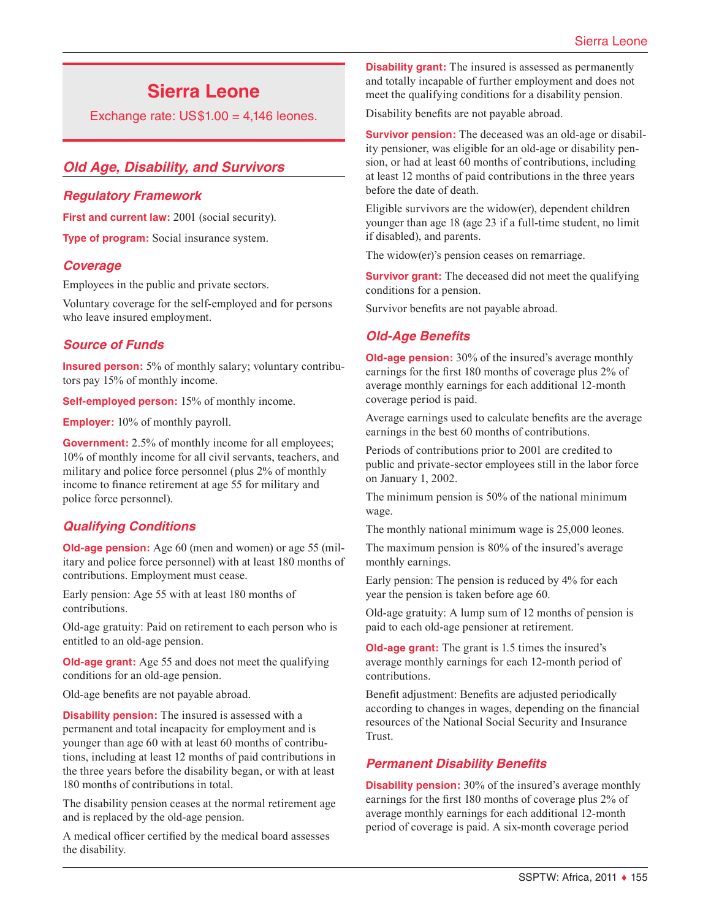# **Sierra Leone**

Exchange rate:  $US$1.00 = 4,146$  leones.

# *Old Age, Disability, and Survivors*

## *Regulatory Framework*

**First and current law:** 2001 (social security).

**Type of program:** Social insurance system.

## *Coverage*

Employees in the public and private sectors.

Voluntary coverage for the self-employed and for persons who leave insured employment.

## *Source of Funds*

**Insured person:** 5% of monthly salary; voluntary contributors pay 15% of monthly income.

**Self-employed person:** 15% of monthly income.

**Employer:** 10% of monthly payroll.

**Government:** 2.5% of monthly income for all employees; 10% of monthly income for all civil servants, teachers, and military and police force personnel (plus 2% of monthly income to finance retirement at age 55 for military and police force personnel).

# *Qualifying Conditions*

**Old-age pension:** Age 60 (men and women) or age 55 (military and police force personnel) with at least 180 months of contributions. Employment must cease.

Early pension: Age 55 with at least 180 months of contributions.

Old-age gratuity: Paid on retirement to each person who is entitled to an old-age pension.

**Old-age grant:** Age 55 and does not meet the qualifying conditions for an old-age pension.

Old-age benefits are not payable abroad.

**Disability pension:** The insured is assessed with a permanent and total incapacity for employment and is younger than age 60 with at least 60 months of contributions, including at least 12 months of paid contributions in the three years before the disability began, or with at least 180 months of contributions in total.

The disability pension ceases at the normal retirement age and is replaced by the old-age pension.

A medical officer certified by the medical board assesses the disability.

**Disability grant:** The insured is assessed as permanently and totally incapable of further employment and does not meet the qualifying conditions for a disability pension.

Disability benefits are not payable abroad.

**Survivor pension:** The deceased was an old-age or disability pensioner, was eligible for an old-age or disability pension, or had at least 60 months of contributions, including at least 12 months of paid contributions in the three years before the date of death.

Eligible survivors are the widow(er), dependent children younger than age 18 (age 23 if a full-time student, no limit if disabled), and parents.

The widow(er)'s pension ceases on remarriage.

**Survivor grant:** The deceased did not meet the qualifying conditions for a pension.

Survivor benefits are not payable abroad.

# *Old-Age Benefits*

**Old-age pension:** 30% of the insured's average monthly earnings for the first 180 months of coverage plus 2% of average monthly earnings for each additional 12-month coverage period is paid.

Average earnings used to calculate benefits are the average earnings in the best 60 months of contributions.

Periods of contributions prior to 2001 are credited to public and private-sector employees still in the labor force on January 1, 2002.

The minimum pension is 50% of the national minimum wage.

The monthly national minimum wage is 25,000 leones.

The maximum pension is 80% of the insured's average monthly earnings.

Early pension: The pension is reduced by 4% for each year the pension is taken before age 60.

Old-age gratuity: A lump sum of 12 months of pension is paid to each old-age pensioner at retirement.

**Old-age grant:** The grant is 1.5 times the insured's average monthly earnings for each 12-month period of contributions.

Benefit adjustment: Benefits are adjusted periodically according to changes in wages, depending on the financial resources of the National Social Security and Insurance Trust.

# *Permanent Disability Benefits*

**Disability pension:** 30% of the insured's average monthly earnings for the first 180 months of coverage plus 2% of average monthly earnings for each additional 12-month period of coverage is paid. A six-month coverage period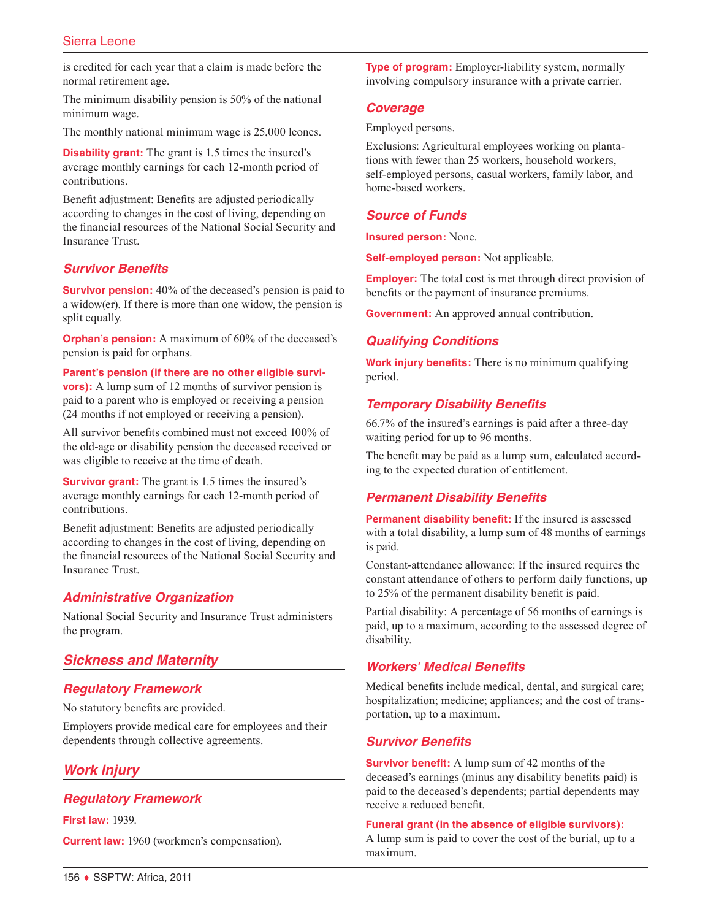## Sierra Leone

is credited for each year that a claim is made before the normal retirement age.

The minimum disability pension is 50% of the national minimum wage.

The monthly national minimum wage is 25,000 leones.

**Disability grant:** The grant is 1.5 times the insured's average monthly earnings for each 12-month period of contributions.

Benefit adjustment: Benefits are adjusted periodically according to changes in the cost of living, depending on the financial resources of the National Social Security and Insurance Trust.

#### *Survivor Benefits*

**Survivor pension:** 40% of the deceased's pension is paid to a widow(er). If there is more than one widow, the pension is split equally.

**Orphan's pension:** A maximum of 60% of the deceased's pension is paid for orphans.

**Parent's pension (if there are no other eligible survivors**): A lump sum of 12 months of survivor pension is paid to a parent who is employed or receiving a pension (24 months if not employed or receiving a pension).

All survivor benefits combined must not exceed 100% of the old-age or disability pension the deceased received or was eligible to receive at the time of death.

**Survivor grant:** The grant is 1.5 times the insured's average monthly earnings for each 12-month period of contributions.

Benefit adjustment: Benefits are adjusted periodically according to changes in the cost of living, depending on the financial resources of the National Social Security and Insurance Trust.

## *Administrative Organization*

National Social Security and Insurance Trust administers the program.

#### *Sickness and Maternity*

#### *Regulatory Framework*

No statutory benefits are provided.

Employers provide medical care for employees and their dependents through collective agreements.

## *Work Injury*

## *Regulatory Framework*

**First law:** 1939.

**Current law:** 1960 (workmen's compensation).

**Type of program:** Employer-liability system, normally involving compulsory insurance with a private carrier.

#### *Coverage*

Employed persons.

Exclusions: Agricultural employees working on plantations with fewer than 25 workers, household workers, self-employed persons, casual workers, family labor, and home-based workers.

## *Source of Funds*

**Insured person:** None.

**Self-employed person:** Not applicable.

**Employer:** The total cost is met through direct provision of benefits or the payment of insurance premiums.

**Government:** An approved annual contribution.

### *Qualifying Conditions*

**Work injury benefits:** There is no minimum qualifying period.

#### *Temporary Disability Benefits*

66.7% of the insured's earnings is paid after a three-day waiting period for up to 96 months.

The benefit may be paid as a lump sum, calculated according to the expected duration of entitlement.

#### *Permanent Disability Benefits*

**Permanent disability benefit:** If the insured is assessed with a total disability, a lump sum of 48 months of earnings is paid.

Constant-attendance allowance: If the insured requires the constant attendance of others to perform daily functions, up to 25% of the permanent disability benefit is paid.

Partial disability: A percentage of 56 months of earnings is paid, up to a maximum, according to the assessed degree of disability.

### *Workers' Medical Benefits*

Medical benefits include medical, dental, and surgical care; hospitalization; medicine; appliances; and the cost of transportation, up to a maximum.

#### *Survivor Benefits*

**Survivor benefit:** A lump sum of 42 months of the deceased's earnings (minus any disability benefits paid) is paid to the deceased's dependents; partial dependents may receive a reduced benefit.

#### **Funeral grant (in the absence of eligible survivors):**

A lump sum is paid to cover the cost of the burial, up to a maximum.